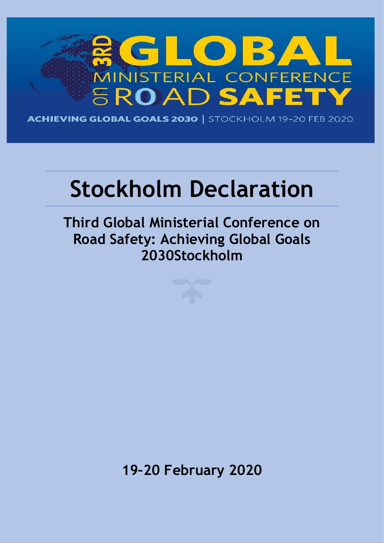

**ACHIEVING GLOBAL GOALS 2030 | STOCKHOLM 19-20 FEB 2020** 

# **Stockholm Declaration**

**Third Global Ministerial Conference on Road Safety: Achieving Global Goals 2030Stockholm**

**19–20 February 2020**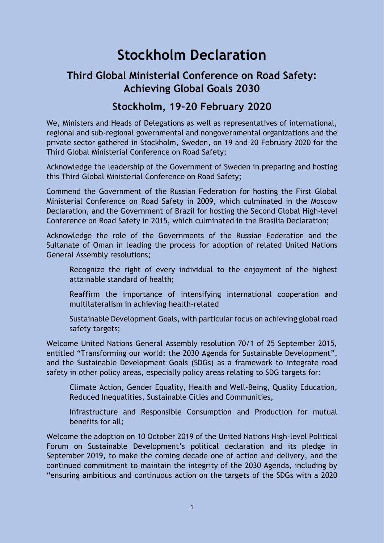## **Stockholm Declaration**

### **Third Global Ministerial Conference on Road Safety: Achieving Global Goals 2030**

#### **Stockholm, 19–20 February 2020**

We, Ministers and Heads of Delegations as well as representatives of international, regional and sub-regional governmental and nongovernmental organizations and the private sector gathered in Stockholm, Sweden, on 19 and 20 February 2020 for the Third Global Ministerial Conference on Road Safety;

Acknowledge the leadership of the Government of Sweden in preparing and hosting this Third Global Ministerial Conference on Road Safety;

Commend the Government of the Russian Federation for hosting the First Global Ministerial Conference on Road Safety in 2009, which culminated in the Moscow Declaration, and the Government of Brazil for hosting the Second Global High-level Conference on Road Safety in 2015, which culminated in the Brasilia Declaration;

Acknowledge the role of the Governments of the Russian Federation and the Sultanate of Oman in leading the process for adoption of related United Nations General Assembly resolutions;

- Recognize the right of every individual to the enjoyment of the highest attainable standard of health;
- Reaffirm the importance of intensifying international cooperation and multilateralism in achieving health-related
- Sustainable Development Goals, with particular focus on achieving global road safety targets;

Welcome United Nations General Assembly resolution 70/1 of 25 September 2015, entitled "Transforming our world: the 2030 Agenda for Sustainable Development", and the Sustainable Development Goals (SDGs) as a framework to integrate road safety in other policy areas, especially policy areas relating to SDG targets for:

Climate Action, Gender Equality, Health and Well-Being, Quality Education, Reduced Inequalities, Sustainable Cities and Communities,

Infrastructure and Responsible Consumption and Production for mutual benefits for all;

Welcome the adoption on 10 October 2019 of the United Nations High-level Political Forum on Sustainable Development's political declaration and its pledge in September 2019, to make the coming decade one of action and delivery, and the continued commitment to maintain the integrity of the 2030 Agenda, including by "ensuring ambitious and continuous action on the targets of the SDGs with a 2020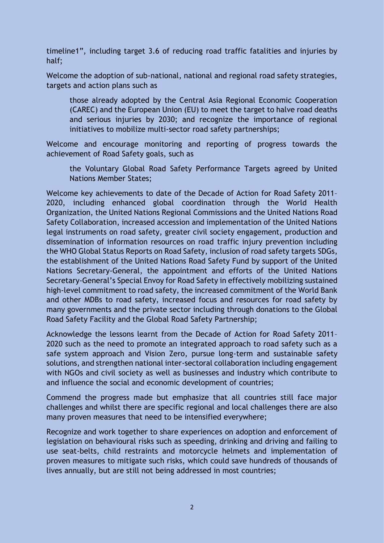timeline1", including target 3.6 of reducing road traffic fatalities and injuries by half;

Welcome the adoption of sub-national, national and regional road safety strategies, targets and action plans such as

those already adopted by the Central Asia Regional Economic Cooperation (CAREC) and the European Union (EU) to meet the target to halve road deaths and serious injuries by 2030; and recognize the importance of regional initiatives to mobilize multi-sector road safety partnerships;

Welcome and encourage monitoring and reporting of progress towards the achievement of Road Safety goals, such as

the Voluntary Global Road Safety Performance Targets agreed by United Nations Member States;

Welcome key achievements to date of the Decade of Action for Road Safety 2011– 2020, including enhanced global coordination through the World Health Organization, the United Nations Regional Commissions and the United Nations Road Safety Collaboration, increased accession and implementation of the United Nations legal instruments on road safety, greater civil society engagement, production and dissemination of information resources on road traffic injury prevention including the WHO Global Status Reports on Road Safety, inclusion of road safety targets SDGs, the establishment of the United Nations Road Safety Fund by support of the United Nations Secretary-General, the appointment and efforts of the United Nations Secretary-General's Special Envoy for Road Safety in effectively mobilizing sustained high-level commitment to road safety, the increased commitment of the World Bank and other MDBs to road safety, increased focus and resources for road safety by many governments and the private sector including through donations to the Global Road Safety Facility and the Global Road Safety Partnership;

Acknowledge the lessons learnt from the Decade of Action for Road Safety 2011– 2020 such as the need to promote an integrated approach to road safety such as a safe system approach and Vision Zero, pursue long-term and sustainable safety solutions, and strengthen national inter-sectoral collaboration including engagement with NGOs and civil society as well as businesses and industry which contribute to and influence the social and economic development of countries;

Commend the progress made but emphasize that all countries still face major challenges and whilst there are specific regional and local challenges there are also many proven measures that need to be intensified everywhere;

Recognize and work together to share experiences on adoption and enforcement of legislation on behavioural risks such as speeding, drinking and driving and failing to use seat-belts, child restraints and motorcycle helmets and implementation of proven measures to mitigate such risks, which could save hundreds of thousands of lives annually, but are still not being addressed in most countries;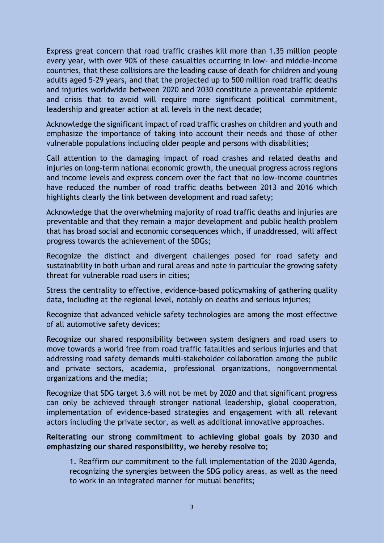Express great concern that road traffic crashes kill more than 1.35 million people every year, with over 90% of these casualties occurring in low- and middle-income countries, that these collisions are the leading cause of death for children and young adults aged 5–29 years, and that the projected up to 500 million road traffic deaths and injuries worldwide between 2020 and 2030 constitute a preventable epidemic and crisis that to avoid will require more significant political commitment, leadership and greater action at all levels in the next decade;

Acknowledge the significant impact of road traffic crashes on children and youth and emphasize the importance of taking into account their needs and those of other vulnerable populations including older people and persons with disabilities;

Call attention to the damaging impact of road crashes and related deaths and injuries on long-term national economic growth, the unequal progress across regions and income levels and express concern over the fact that no low-income countries have reduced the number of road traffic deaths between 2013 and 2016 which highlights clearly the link between development and road safety;

Acknowledge that the overwhelming majority of road traffic deaths and injuries are preventable and that they remain a major development and public health problem that has broad social and economic consequences which, if unaddressed, will affect progress towards the achievement of the SDGs;

Recognize the distinct and divergent challenges posed for road safety and sustainability in both urban and rural areas and note in particular the growing safety threat for vulnerable road users in cities;

Stress the centrality to effective, evidence-based policymaking of gathering quality data, including at the regional level, notably on deaths and serious injuries;

Recognize that advanced vehicle safety technologies are among the most effective of all automotive safety devices;

Recognize our shared responsibility between system designers and road users to move towards a world free from road traffic fatalities and serious injuries and that addressing road safety demands multi-stakeholder collaboration among the public and private sectors, academia, professional organizations, nongovernmental organizations and the media;

Recognize that SDG target 3.6 will not be met by 2020 and that significant progress can only be achieved through stronger national leadership, global cooperation, implementation of evidence-based strategies and engagement with all relevant actors including the private sector, as well as additional innovative approaches.

#### **Reiterating our strong commitment to achieving global goals by 2030 and emphasizing our shared responsibility, we hereby resolve to;**

1. Reaffirm our commitment to the full implementation of the 2030 Agenda, recognizing the synergies between the SDG policy areas, as well as the need to work in an integrated manner for mutual benefits;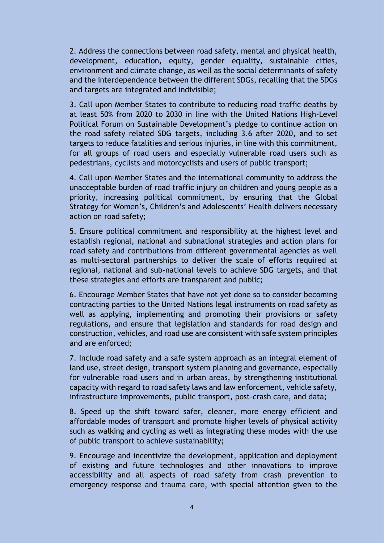2. Address the connections between road safety, mental and physical health, development, education, equity, gender equality, sustainable cities, environment and climate change, as well as the social determinants of safety and the interdependence between the different SDGs, recalling that the SDGs and targets are integrated and indivisible;

3. Call upon Member States to contribute to reducing road traffic deaths by at least 50% from 2020 to 2030 in line with the United Nations High-Level Political Forum on Sustainable Development's pledge to continue action on the road safety related SDG targets, including 3.6 after 2020, and to set targets to reduce fatalities and serious injuries, in line with this commitment, for all groups of road users and especially vulnerable road users such as pedestrians, cyclists and motorcyclists and users of public transport;

4. Call upon Member States and the international community to address the unacceptable burden of road traffic injury on children and young people as a priority, increasing political commitment, by ensuring that the Global Strategy for Women's, Children's and Adolescents' Health delivers necessary action on road safety;

5. Ensure political commitment and responsibility at the highest level and establish regional, national and subnational strategies and action plans for road safety and contributions from different governmental agencies as well as multi-sectoral partnerships to deliver the scale of efforts required at regional, national and sub-national levels to achieve SDG targets, and that these strategies and efforts are transparent and public;

6. Encourage Member States that have not yet done so to consider becoming contracting parties to the United Nations legal instruments on road safety as well as applying, implementing and promoting their provisions or safety regulations, and ensure that legislation and standards for road design and construction, vehicles, and road use are consistent with safe system principles and are enforced;

7. Include road safety and a safe system approach as an integral element of land use, street design, transport system planning and governance, especially for vulnerable road users and in urban areas, by strengthening institutional capacity with regard to road safety laws and law enforcement, vehicle safety, infrastructure improvements, public transport, post-crash care, and data;

8. Speed up the shift toward safer, cleaner, more energy efficient and affordable modes of transport and promote higher levels of physical activity such as walking and cycling as well as integrating these modes with the use of public transport to achieve sustainability;

9. Encourage and incentivize the development, application and deployment of existing and future technologies and other innovations to improve accessibility and all aspects of road safety from crash prevention to emergency response and trauma care, with special attention given to the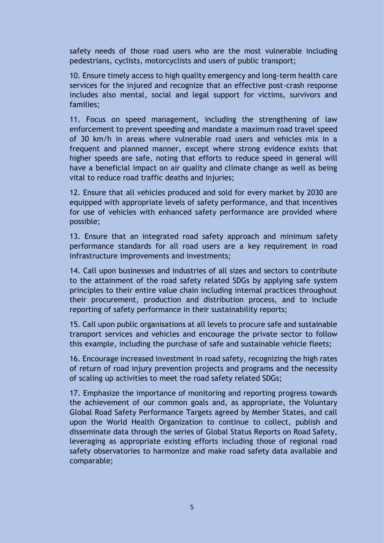safety needs of those road users who are the most vulnerable including pedestrians, cyclists, motorcyclists and users of public transport;

10. Ensure timely access to high quality emergency and long-term health care services for the injured and recognize that an effective post-crash response includes also mental, social and legal support for victims, survivors and families;

11. Focus on speed management, including the strengthening of law enforcement to prevent speeding and mandate a maximum road travel speed of 30 km/h in areas where vulnerable road users and vehicles mix in a frequent and planned manner, except where strong evidence exists that higher speeds are safe, noting that efforts to reduce speed in general will have a beneficial impact on air quality and climate change as well as being vital to reduce road traffic deaths and injuries;

12. Ensure that all vehicles produced and sold for every market by 2030 are equipped with appropriate levels of safety performance, and that incentives for use of vehicles with enhanced safety performance are provided where possible;

13. Ensure that an integrated road safety approach and minimum safety performance standards for all road users are a key requirement in road infrastructure improvements and investments;

14. Call upon businesses and industries of all sizes and sectors to contribute to the attainment of the road safety related SDGs by applying safe system principles to their entire value chain including internal practices throughout their procurement, production and distribution process, and to include reporting of safety performance in their sustainability reports;

15. Call upon public organisations at all levels to procure safe and sustainable transport services and vehicles and encourage the private sector to follow this example, including the purchase of safe and sustainable vehicle fleets;

16. Encourage increased investment in road safety, recognizing the high rates of return of road injury prevention projects and programs and the necessity of scaling up activities to meet the road safety related SDGs;

17. Emphasize the importance of monitoring and reporting progress towards the achievement of our common goals and, as appropriate, the Voluntary Global Road Safety Performance Targets agreed by Member States, and call upon the World Health Organization to continue to collect, publish and disseminate data through the series of Global Status Reports on Road Safety, leveraging as appropriate existing efforts including those of regional road safety observatories to harmonize and make road safety data available and comparable;